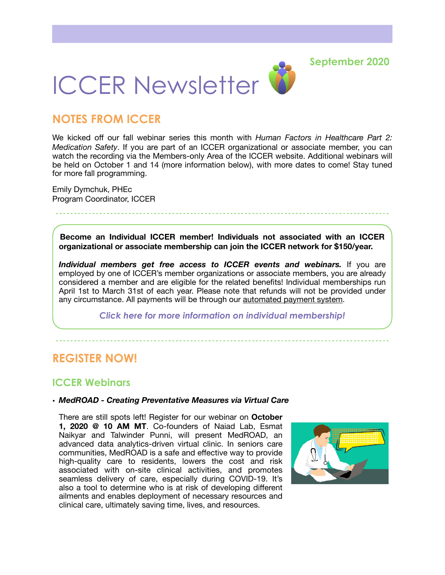**September 2020**



# **NOTES FROM ICCER**

We kicked off our fall webinar series this month with *Human Factors in Healthcare Part 2: Medication Safety*. If you are part of an ICCER organizational or associate member, you can watch the recording via the Members-only Area of the ICCER website. Additional webinars will be held on October 1 and 14 (more information below), with more dates to come! Stay tuned for more fall programming.

Emily Dymchuk, PHEc Program Coordinator, ICCER

**Become an Individual ICCER member! Individuals not associated with an ICCER organizational or associate membership can join the ICCER network for \$150/year.** 

*Individual members get free access to ICCER events and webinars.* If you are employed by one of ICCER's member organizations or associate members, you are already considered a member and are eligible for the related benefits! Individual memberships run April 1st to March 31st of each year. Please note that refunds will not be provided under any circumstance. All payments will be through our [automated payment system.](https://payment.augustana.ualberta.ca/store/Rehab+Medicine+-+ICCER+Store/)

*[Click here for more information on individual membership!](http://iccer.ca/im.html)* 

## **REGISTER NOW!**

### **ICCER Webinars**

#### **•** *MedROAD - Creating Preventative Measures via Virtual Care*

There are still spots left! Register for our webinar on **October 1, 2020 @ 10 AM MT**. Co-founders of Naiad Lab, Esmat Naikyar and Talwinder Punni, will present MedROAD, an advanced data analytics-driven virtual clinic. In seniors care communities, MedROAD is a safe and effective way to provide high-quality care to residents, lowers the cost and risk associated with on-site clinical activities, and promotes seamless delivery of care, especially during COVID-19. It's also a tool to determine who is at risk of developing different ailments and enables deployment of necessary resources and clinical care, ultimately saving time, lives, and resources.

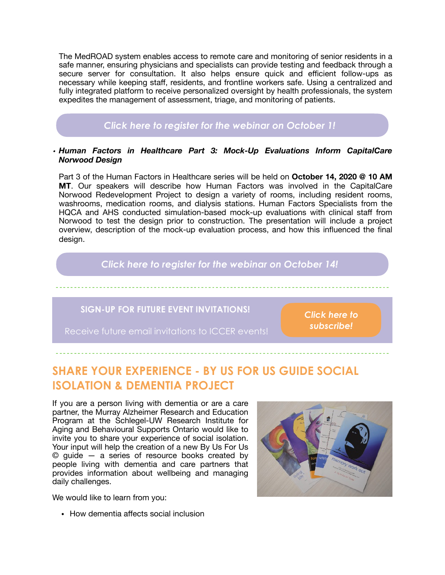The MedROAD system enables access to remote care and monitoring of senior residents in a safe manner, ensuring physicians and specialists can provide testing and feedback through a secure server for consultation. It also helps ensure quick and efficient follow-ups as necessary while keeping staff, residents, and frontline workers safe. Using a centralized and fully integrated platform to receive personalized oversight by health professionals, the system expedites the management of assessment, triage, and monitoring of patients.

## *[Click here to register for the webinar on October 1!](http://events.constantcontact.com/register/event?llr=hnncpkfab&oeidk=a07eh6y4ekk1272b77b)*

#### *• Human Factors in Healthcare Part 3: Mock-Up Evaluations Inform CapitalCare Norwood Design*

Part 3 of the Human Factors in Healthcare series will be held on **October 14, 2020 @ 10 AM MT**. Our speakers will describe how Human Factors was involved in the CapitalCare Norwood Redevelopment Project to design a variety of rooms, including resident rooms, washrooms, medication rooms, and dialysis stations. Human Factors Specialists from the HQCA and AHS conducted simulation-based mock-up evaluations with clinical staff from Norwood to test the design prior to construction. The presentation will include a project overview, description of the mock-up evaluation process, and how this influenced the final design.

### *[Click here to register for the webinar on October 14!](http://events.constantcontact.com/register/event?llr=hnncpkfab&oeidk=a07eh6q1zsw76918f16)*

### **SIGN-UP FOR FUTURE EVENT INVITATIONS!**

Receive future email invitations to ICCER events!

*[Click here to](https://visitor.r20.constantcontact.com/d.jsp?llr=hnncpkfab&p=oi&m=hnncpkfab&sit=xi9oo76fb&f=5c00edb3-0b93-44a2-ae93-366821a9ae87)  [subscribe!](https://visitor.r20.constantcontact.com/d.jsp?llr=hnncpkfab&p=oi&m=hnncpkfab&sit=xi9oo76fb&f=5c00edb3-0b93-44a2-ae93-366821a9ae87)*

# **SHARE YOUR EXPERIENCE - BY US FOR US GUIDE SOCIAL ISOLATION & DEMENTIA PROJECT**

If you are a person living with dementia or are a care partner, the Murray Alzheimer Research and Education Program at the Schlegel-UW Research Institute for Aging and Behavioural Supports Ontario would like to invite you to share your experience of social isolation. Your input will help the creation of a new By Us For Us © guide — a series of resource books created by people living with dementia and care partners that provides information about wellbeing and managing daily challenges.

We would like to learn from you:

- 
- How dementia affects social inclusion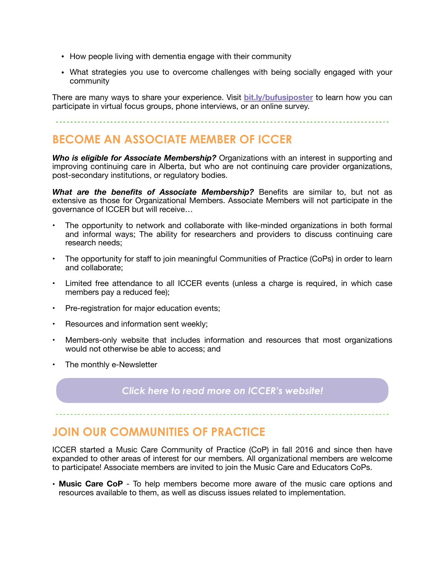- How people living with dementia engage with their community
- What strategies you use to overcome challenges with being socially engaged with your community

There are many ways to share your experience. Visit **[bit.ly/bufusiposter](http://bit.ly/bufusiposter)** to learn how you can participate in virtual focus groups, phone interviews, or an online survey.

# **BECOME AN ASSOCIATE MEMBER OF ICCER**

*Who is eligible for Associate Membership?* Organizations with an interest in supporting and improving continuing care in Alberta, but who are not continuing care provider organizations, post-secondary institutions, or regulatory bodies.

*What are the benefits of Associate Membership?* Benefits are similar to, but not as extensive as those for Organizational Members. Associate Members will not participate in the governance of ICCER but will receive…

- The opportunity to network and collaborate with like-minded organizations in both formal and informal ways; The ability for researchers and providers to discuss continuing care research needs;
- The opportunity for staff to join meaningful Communities of Practice (CoPs) in order to learn and collaborate;
- Limited free attendance to all ICCER events (unless a charge is required, in which case members pay a reduced fee);
- Pre-registration for major education events;
- Resources and information sent weekly;
- Members-only website that includes information and resources that most organizations would not otherwise be able to access; and
- The monthly e-Newsletter

### *[Click here to read more on ICCER's website!](http://iccer.ca/am.html)*

# **JOIN OUR COMMUNITIES OF PRACTICE**

ICCER started a Music Care Community of Practice (CoP) in fall 2016 and since then have expanded to other areas of interest for our members. All organizational members are welcome to participate! Associate members are invited to join the Music Care and Educators CoPs.

• **Music Care CoP** - To help members become more aware of the music care options and resources available to them, as well as discuss issues related to implementation.